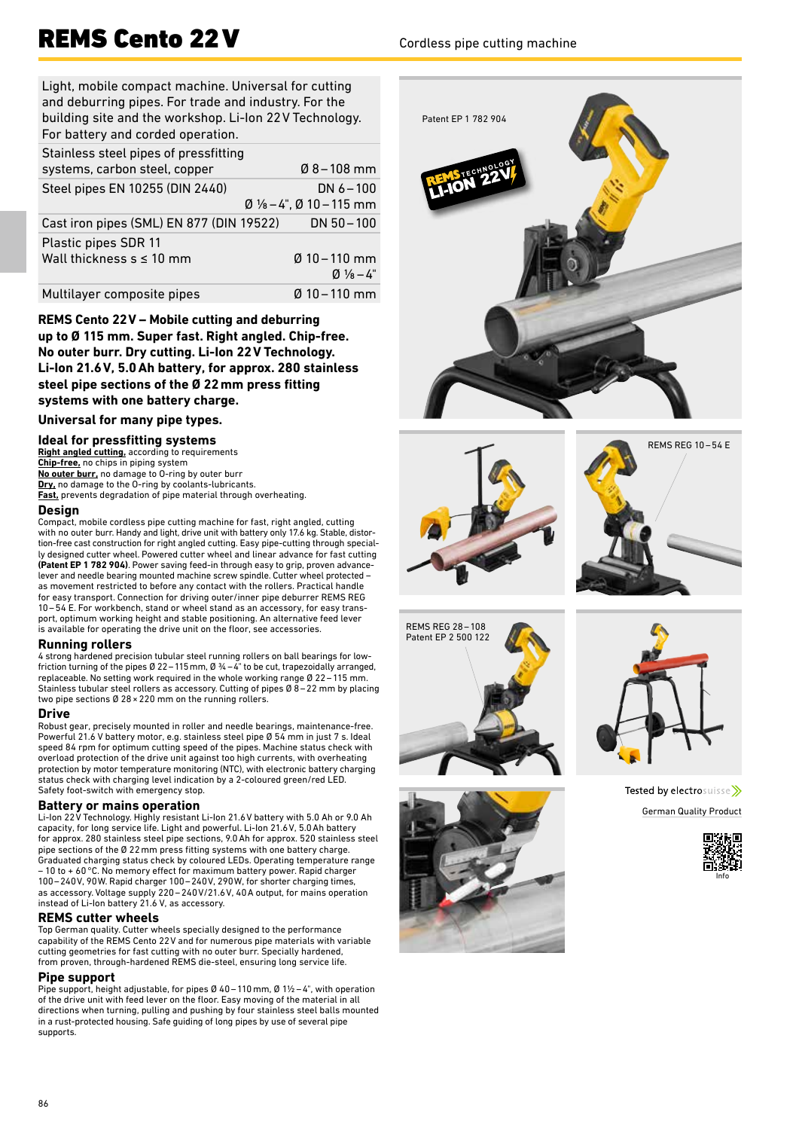## REMS Cento 22 V Cordless pipe cutting machine

Light, mobile compact machine. Universal for cutting and deburring pipes. For trade and industry. For the building site and the workshop. Li-Ion 22V Technology. For battery and corded operation.

| Stainless steel pipes of pressfitting<br>systems, carbon steel, copper | $Ø8 - 108$ mm                                                                 |
|------------------------------------------------------------------------|-------------------------------------------------------------------------------|
| Steel pipes EN 10255 (DIN 2440)                                        | DN $6 - 100$<br>$\varnothing$ 1/ <sub>8</sub> – 4", $\varnothing$ 10 – 115 mm |
| Cast iron pipes (SML) EN 877 (DIN 19522)                               | $DN 50 - 100$                                                                 |
| Plastic pipes SDR 11<br>Wall thickness $s \leq 10$ mm                  | $Ø$ 10 – 110 mm<br>$Q_1\frac{1}{8}-4$ "                                       |
| Multilayer composite pipes                                             | $\emptyset$ 10 – 110 mm                                                       |

**REMS Cento 22V – Mobile cutting and deburring up to Ø 115 mm. Super fast. Right angled. Chip-free. No outer burr. Dry cutting. Li-Ion 22V Technology. Li-Ion 21.6V, 5.0Ah battery, for approx. 280 stainless steel pipe sections of the Ø 22mm press fitting systems with one battery charge.**

**Universal for many pipe types.**

### **Ideal for pressfitting systems**

**Right angled cutting,** according to requirements **Chip-free,** no chips in piping system **No outer burr,** no damage to O-ring by outer burr Dry, no damage to the O-ring by coolants-lubricants. **Fast,** prevents degradation of pipe material through overheating.

#### **Design**

Compact, mobile cordless pipe cutting machine for fast, right angled, cutting with no outer burr. Handy and light, drive unit with battery only 17.6 kg. Stable, distortion-free cast construction for right angled cutting. Easy pipe-cutting through specially designed cutter wheel. Powered cutter wheel and linear advance for fast cutting **(Patent EP 1 782 904)**. Power saving feed-in through easy to grip, proven advance-lever and needle bearing mounted machine screw spindle. Cutter wheel protected – as movement restricted to before any contact with the rollers. Practical handle for easy transport. Connection for driving outer/inner pipe deburrer REMS REG  $10-54$  E. For workbench, stand or wheel stand as an accessory, for easy transport, optimum working height and stable positioning. An alternative feed lever is available for operating the drive unit on the floor, see accessories.

#### **Running rollers**

4 strong hardened precision tubular steel running rollers on ball bearings for lowfriction turning of the pipes Ø 22 – 115 mm, Ø ¾ – 4" to be cut, trapezoidally arranged, replaceable. No setting work required in the whole working range Ø 22–115 mm. Stainless tubular steel rollers as accessory. Cutting of pipes  $\emptyset$  8 – 22 mm by placing two pipe sections Ø 28×220 mm on the running rollers.

#### **Drive**

Robust gear, precisely mounted in roller and needle bearings, maintenance-free. Powerful 21.6 V battery motor, e.g. stainless steel pipe Ø 54 mm in just 7 s. Ideal speed 84 rpm for optimum cutting speed of the pipes. Machine status check with overload protection of the drive unit against too high currents, with overheating protection by motor temperature monitoring (NTC), with electronic battery charging status check with charging level indication by a 2-coloured green/red LED. Safety foot-switch with emergency stop.

#### **Battery or mains operation**

Li-Ion 22V Technology. Highly resistant Li-Ion 21.6V battery with 5.0 Ah or 9.0 Ah capacity, for long service life. Light and powerful. Li-Ion 21.6V, 5.0Ah battery for approx. 280 stainless steel pipe sections, 9.0Ah for approx. 520 stainless steel pipe sections of the Ø 22mm press fitting systems with one battery charge. Graduated charging status check by coloured LEDs. Operating temperature range – 10 to + 60°C. No memory effect for maximum battery power. Rapid charger 100–240V, 90W. Rapid charger 100–240V, 290W, for shorter charging times, as accessory. Voltage supply 220–240V/21.6V, 40A output, for mains operation instead of Li-Ion battery 21.6 V, as accessory.

#### **REMS cutter wheels**

Top German quality. Cutter wheels specially designed to the performance capability of the REMS Cento 22V and for numerous pipe materials with variable cutting geometries for fast cutting with no outer burr. Specially hardened, from proven, through-hardened REMS die-steel, ensuring long service life.

#### **Pipe support**

Pipe support, height adjustable, for pipes Ø 40 – 110 mm, Ø 1½ – 4", with operation of the drive unit with feed lever on the floor. Easy moving of the material in all directions when turning, pulling and pushing by four stainless steel balls mounted in a rust-protected housing. Safe guiding of long pipes by use of several pipe supports.











Tested by electrosuisse >> German Quality Product